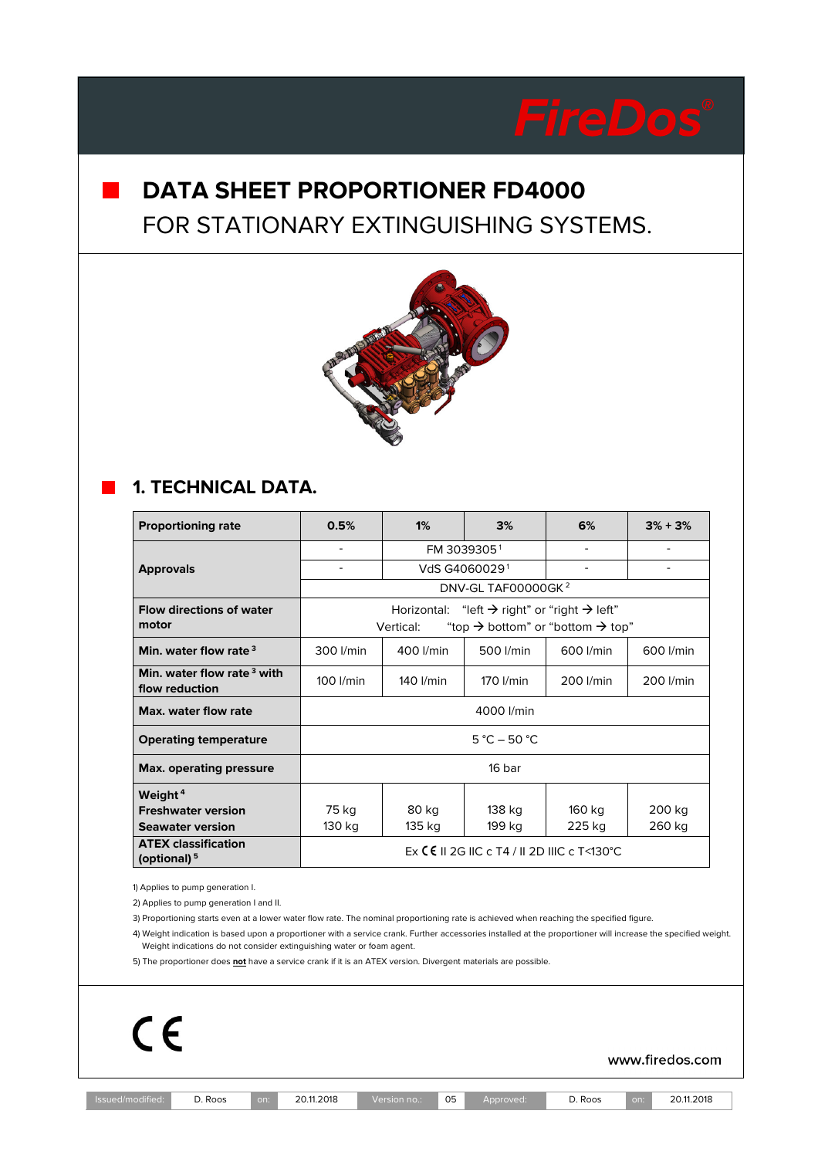# **DATA SHEET PROPORTIONER FD4000** FOR STATIONARY EXTINGUISHING SYSTEMS.



## **1. TECHNICAL DATA.**

| <b>Proportioning rate</b>                                | 0.5%                                                                              | 1%                        | 3%        | 6%        | $3\% + 3\%$ |  |
|----------------------------------------------------------|-----------------------------------------------------------------------------------|---------------------------|-----------|-----------|-------------|--|
|                                                          | ۰                                                                                 | FM 30393051               |           |           |             |  |
| <b>Approvals</b>                                         | ۰                                                                                 | VdS G4060029 <sup>1</sup> |           |           |             |  |
|                                                          | DNV-GL TAF00000GK <sup>2</sup>                                                    |                           |           |           |             |  |
| <b>Flow directions of water</b>                          | Horizontal: "left $\rightarrow$ right" or "right $\rightarrow$ left"              |                           |           |           |             |  |
| motor                                                    | "top $\rightarrow$ bottom" or "bottom $\rightarrow$ top"<br>Vertical:             |                           |           |           |             |  |
| Min. water flow rate <sup>3</sup>                        | 300 l/min                                                                         | 400 l/min                 | 500 l/min | 600 l/min | 600 l/min   |  |
| Min. water flow rate <sup>3</sup> with<br>flow reduction | 100 l/min                                                                         | 140 l/min                 | 170 I/min | 200 l/min | 200 l/min   |  |
| Max, water flow rate                                     | 4000 l/min                                                                        |                           |           |           |             |  |
| <b>Operating temperature</b>                             | $5 °C - 50 °C$                                                                    |                           |           |           |             |  |
| <b>Max. operating pressure</b>                           | 16 har                                                                            |                           |           |           |             |  |
| Weight <sup>4</sup>                                      |                                                                                   |                           |           |           |             |  |
| <b>Freshwater version</b>                                | 75 kg                                                                             | 80 kg                     | 138 kg    | 160 kg    | 200 kg      |  |
| <b>Seawater version</b>                                  | 130 kg                                                                            | 135 kg                    | 199 kg    | 225 kg    | 260 kg      |  |
| <b>ATEX classification</b><br>(optional) <sup>5</sup>    | Ex $\mathsf{\mathsf{C}}\mathsf{\mathsf{E}}$ II 2G IIC c T4 / II 2D IIIC c T<130°C |                           |           |           |             |  |

1) Applies to pump generation I.

2) Applies to pump generation I and II.

3) Proportioning starts even at a lower water flow rate. The nominal proportioning rate is achieved when reaching the specified figure.

4) Weight indication is based upon a proportioner with a service crank. Further accessories installed at the proportioner will increase the specified weight. Weight indications do not consider extinguishing water or foam agent.

5) The proportioner does **not** have a service crank if it is an ATEX version. Divergent materials are possible.

 $C \in$ 

www.firedos.com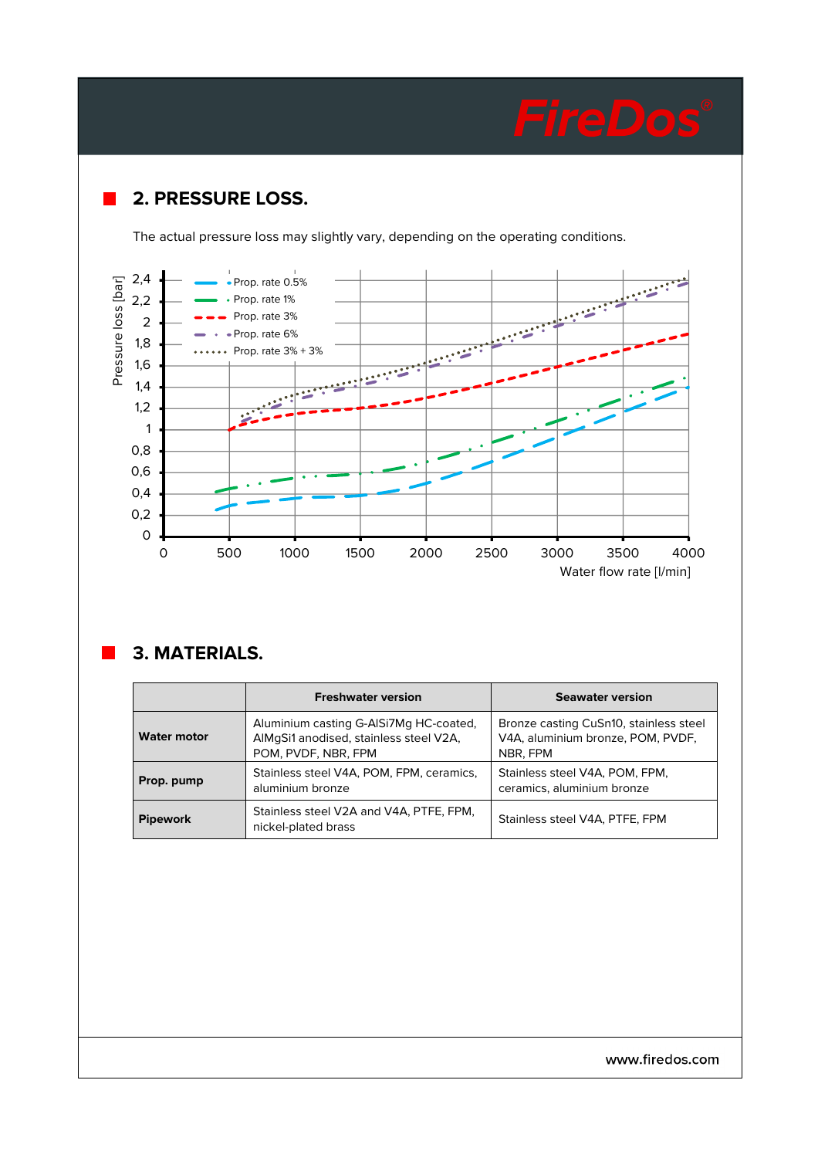# **2. PRESSURE LOSS.**

The actual pressure loss may slightly vary, depending on the operating conditions.



## **3. MATERIALS.**

|                    | <b>Freshwater version</b>                                                                               | <b>Seawater version</b>                                                                 |  |  |
|--------------------|---------------------------------------------------------------------------------------------------------|-----------------------------------------------------------------------------------------|--|--|
| <b>Water motor</b> | Aluminium casting G-AISi7Mg HC-coated,<br>AlMgSi1 anodised, stainless steel V2A,<br>POM, PVDF, NBR, FPM | Bronze casting CuSn10, stainless steel<br>V4A, aluminium bronze, POM, PVDF,<br>NBR, FPM |  |  |
| Prop. pump         | Stainless steel V4A, POM, FPM, ceramics,<br>aluminium bronze                                            | Stainless steel V4A, POM, FPM,<br>ceramics, aluminium bronze                            |  |  |
| <b>Pipework</b>    | Stainless steel V2A and V4A, PTFE, FPM,<br>nickel-plated brass                                          | Stainless steel V4A, PTFE, FPM                                                          |  |  |

www.firedos.com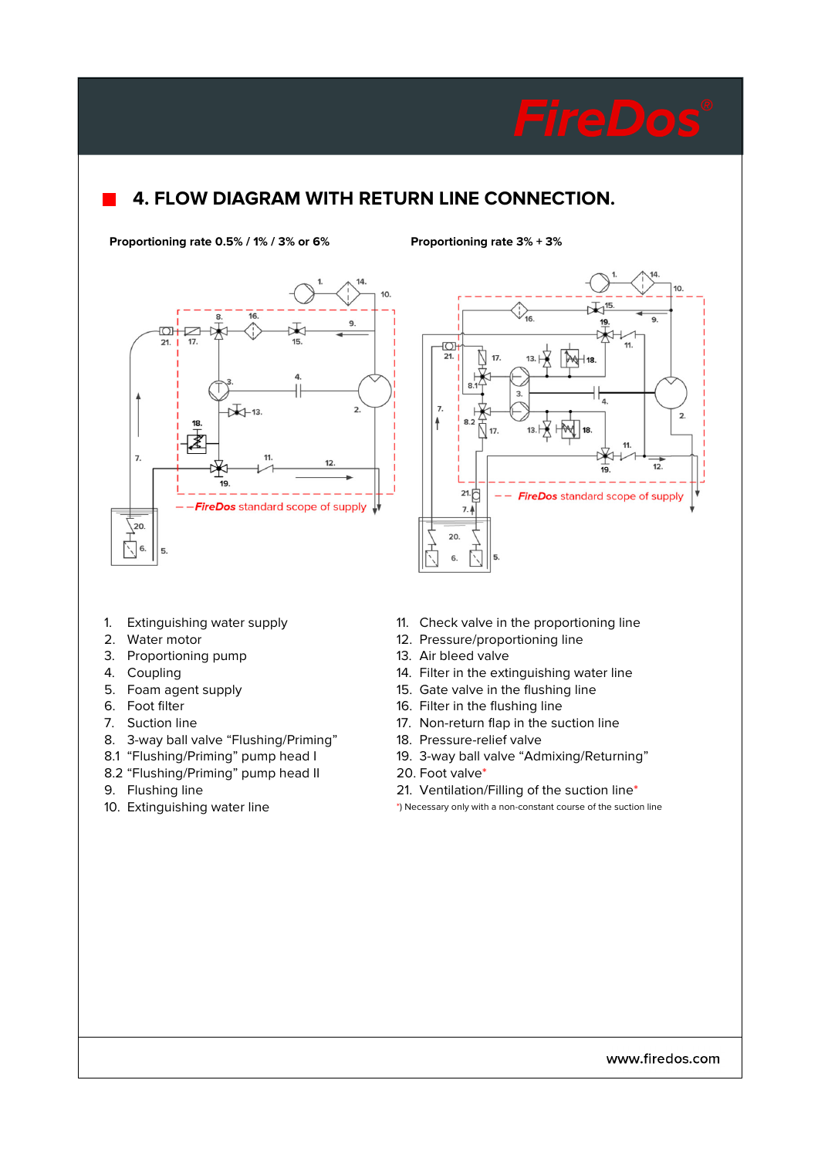# **4. FLOW DIAGRAM WITH RETURN LINE CONNECTION.**

**Proportioning rate 0.5% / 1% / 3% or 6% Proportioning rate 3% + 3%**





- 
- 
- 3. Proportioning pump 13. Air bleed valve
- 
- 
- 
- 
- 8. 3-way ball valve "Flushing/Priming" 18. Pressure-relief valve
- 
- 8.2 "Flushing/Priming" pump head II 20. Foot valve\*
- 

- 1. Extinguishing water supply 11. Check valve in the proportioning line
- 2. Water motor **12. Pressure/proportioning line** 
	-
- 4. Coupling 14. Filter in the extinguishing water line
- 5. Foam agent supply 15. Gate valve in the flushing line
- 6. Foot filter 16. Filter in the flushing line
- 7. Suction line 17. Non-return flap in the suction line
	-
- 8.1 "Flushing/Priming" pump head I 19. 3-way ball valve "Admixing/Returning"
	-
- 9. Flushing line 21. Ventilation/Filling of the suction line\*
- 10. Extinguishing water line \*) Necessary only with a non-constant course of the suction line